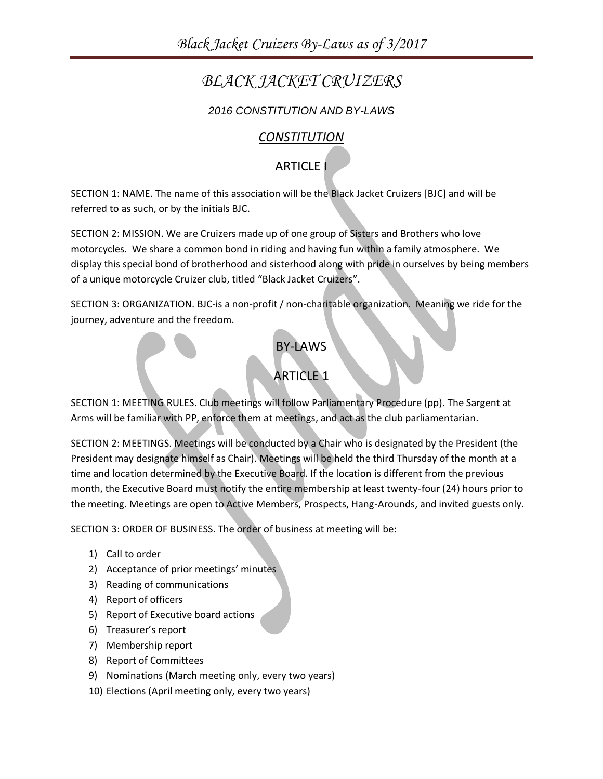# *BLACK JACKET CRUIZERS*

#### *2016 CONSTITUTION AND BY-LAWS*

#### *CONSTITUTION*

# ARTICLE I

SECTION 1: NAME. The name of this association will be the Black Jacket Cruizers [BJC] and will be referred to as such, or by the initials BJC.

SECTION 2: MISSION. We are Cruizers made up of one group of Sisters and Brothers who love motorcycles. We share a common bond in riding and having fun within a family atmosphere. We display this special bond of brotherhood and sisterhood along with pride in ourselves by being members of a unique motorcycle Cruizer club, titled "Black Jacket Cruizers".

SECTION 3: ORGANIZATION. BJC-is a non-profit / non-charitable organization. Meaning we ride for the journey, adventure and the freedom.

#### BY-LAWS

## **ARTICLE 1**

SECTION 1: MEETING RULES. Club meetings will follow Parliamentary Procedure (pp). The Sargent at Arms will be familiar with PP, enforce them at meetings, and act as the club parliamentarian.

SECTION 2: MEETINGS. Meetings will be conducted by a Chair who is designated by the President (the President may designate himself as Chair). Meetings will be held the third Thursday of the month at a time and location determined by the Executive Board. If the location is different from the previous month, the Executive Board must notify the entire membership at least twenty-four (24) hours prior to the meeting. Meetings are open to Active Members, Prospects, Hang-Arounds, and invited guests only.

SECTION 3: ORDER OF BUSINESS. The order of business at meeting will be:

- 1) Call to order
- 2) Acceptance of prior meetings' minutes
- 3) Reading of communications
- 4) Report of officers
- 5) Report of Executive board actions
- 6) Treasurer's report
- 7) Membership report
- 8) Report of Committees
- 9) Nominations (March meeting only, every two years)
- 10) Elections (April meeting only, every two years)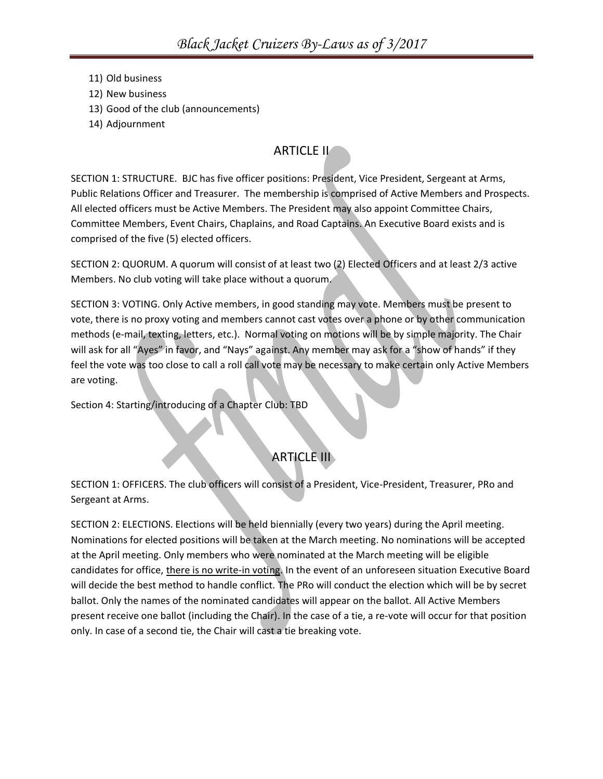- 11) Old business
- 12) New business
- 13) Good of the club (announcements)
- 14) Adjournment

### ARTICLE II

SECTION 1: STRUCTURE. BJC has five officer positions: President, Vice President, Sergeant at Arms, Public Relations Officer and Treasurer. The membership is comprised of Active Members and Prospects. All elected officers must be Active Members. The President may also appoint Committee Chairs, Committee Members, Event Chairs, Chaplains, and Road Captains. An Executive Board exists and is comprised of the five (5) elected officers.

SECTION 2: QUORUM. A quorum will consist of at least two (2) Elected Officers and at least 2/3 active Members. No club voting will take place without a quorum.

SECTION 3: VOTING. Only Active members, in good standing may vote. Members must be present to vote, there is no proxy voting and members cannot cast votes over a phone or by other communication methods (e-mail, texting, letters, etc.). Normal voting on motions will be by simple majority. The Chair will ask for all "Ayes" in favor, and "Nays" against. Any member may ask for a "show of hands" if they feel the vote was too close to call a roll call vote may be necessary to make certain only Active Members are voting.

Section 4: Starting/introducing of a Chapter Club: TBD

# ARTICLE III

SECTION 1: OFFICERS. The club officers will consist of a President, Vice-President, Treasurer, PRo and Sergeant at Arms.

SECTION 2: ELECTIONS. Elections will be held biennially (every two years) during the April meeting. Nominations for elected positions will be taken at the March meeting. No nominations will be accepted at the April meeting. Only members who were nominated at the March meeting will be eligible candidates for office, there is no write-in voting. In the event of an unforeseen situation Executive Board will decide the best method to handle conflict. The PRo will conduct the election which will be by secret ballot. Only the names of the nominated candidates will appear on the ballot. All Active Members present receive one ballot (including the Chair). In the case of a tie, a re-vote will occur for that position only. In case of a second tie, the Chair will cast a tie breaking vote.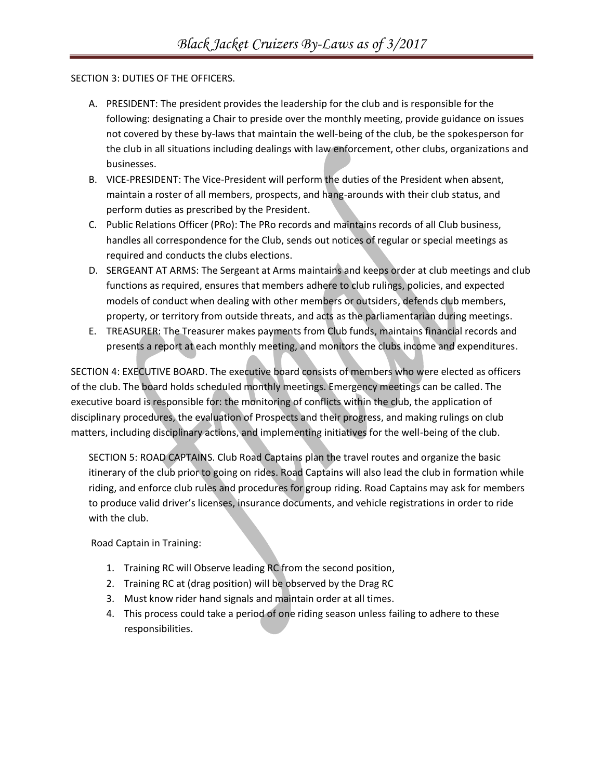#### SECTION 3: DUTIES OF THE OFFICERS.

- A. PRESIDENT: The president provides the leadership for the club and is responsible for the following: designating a Chair to preside over the monthly meeting, provide guidance on issues not covered by these by-laws that maintain the well-being of the club, be the spokesperson for the club in all situations including dealings with law enforcement, other clubs, organizations and businesses.
- B. VICE-PRESIDENT: The Vice-President will perform the duties of the President when absent, maintain a roster of all members, prospects, and hang-arounds with their club status, and perform duties as prescribed by the President.
- C. Public Relations Officer (PRo): The PRo records and maintains records of all Club business, handles all correspondence for the Club, sends out notices of regular or special meetings as required and conducts the clubs elections.
- D. SERGEANT AT ARMS: The Sergeant at Arms maintains and keeps order at club meetings and club functions as required, ensures that members adhere to club rulings, policies, and expected models of conduct when dealing with other members or outsiders, defends club members, property, or territory from outside threats, and acts as the parliamentarian during meetings.
- E. TREASURER: The Treasurer makes payments from Club funds, maintains financial records and presents a report at each monthly meeting, and monitors the clubs income and expenditures.

SECTION 4: EXECUTIVE BOARD. The executive board consists of members who were elected as officers of the club. The board holds scheduled monthly meetings. Emergency meetings can be called. The executive board is responsible for: the monitoring of conflicts within the club, the application of disciplinary procedures, the evaluation of Prospects and their progress, and making rulings on club matters, including disciplinary actions, and implementing initiatives for the well-being of the club.

SECTION 5: ROAD CAPTAINS. Club Road Captains plan the travel routes and organize the basic itinerary of the club prior to going on rides. Road Captains will also lead the club in formation while riding, and enforce club rules and procedures for group riding. Road Captains may ask for members to produce valid driver's licenses, insurance documents, and vehicle registrations in order to ride with the club.

Road Captain in Training:

- 1. Training RC will Observe leading RC from the second position,
- 2. Training RC at (drag position) will be observed by the Drag RC
- 3. Must know rider hand signals and maintain order at all times.
- 4. This process could take a period of one riding season unless failing to adhere to these responsibilities.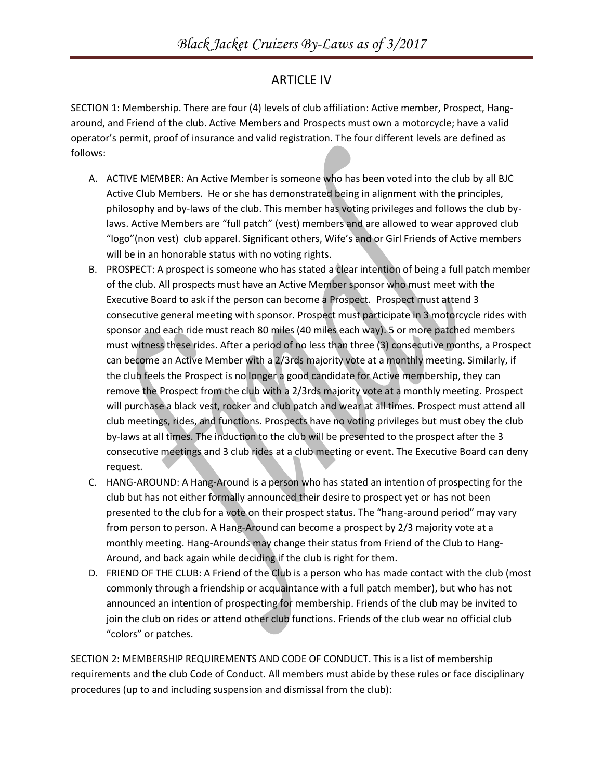#### ARTICLE IV

SECTION 1: Membership. There are four (4) levels of club affiliation: Active member, Prospect, Hangaround, and Friend of the club. Active Members and Prospects must own a motorcycle; have a valid operator's permit, proof of insurance and valid registration. The four different levels are defined as follows:

- A. ACTIVE MEMBER: An Active Member is someone who has been voted into the club by all BJC Active Club Members. He or she has demonstrated being in alignment with the principles, philosophy and by-laws of the club. This member has voting privileges and follows the club bylaws. Active Members are "full patch" (vest) members and are allowed to wear approved club "logo"(non vest) club apparel. Significant others, Wife's and or Girl Friends of Active members will be in an honorable status with no voting rights.
- B. PROSPECT: A prospect is someone who has stated a clear intention of being a full patch member of the club. All prospects must have an Active Member sponsor who must meet with the Executive Board to ask if the person can become a Prospect. Prospect must attend 3 consecutive general meeting with sponsor. Prospect must participate in 3 motorcycle rides with sponsor and each ride must reach 80 miles (40 miles each way). 5 or more patched members must witness these rides. After a period of no less than three (3) consecutive months, a Prospect can become an Active Member with a 2/3rds majority vote at a monthly meeting. Similarly, if the club feels the Prospect is no longer a good candidate for Active membership, they can remove the Prospect from the club with a 2/3rds majority vote at a monthly meeting. Prospect will purchase a black vest, rocker and club patch and wear at all times. Prospect must attend all club meetings, rides, and functions. Prospects have no voting privileges but must obey the club by-laws at all times. The induction to the club will be presented to the prospect after the 3 consecutive meetings and 3 club rides at a club meeting or event. The Executive Board can deny request.
- C. HANG-AROUND: A Hang-Around is a person who has stated an intention of prospecting for the club but has not either formally announced their desire to prospect yet or has not been presented to the club for a vote on their prospect status. The "hang-around period" may vary from person to person. A Hang-Around can become a prospect by 2/3 majority vote at a monthly meeting. Hang-Arounds may change their status from Friend of the Club to Hang-Around, and back again while deciding if the club is right for them.
- D. FRIEND OF THE CLUB: A Friend of the Club is a person who has made contact with the club (most commonly through a friendship or acquaintance with a full patch member), but who has not announced an intention of prospecting for membership. Friends of the club may be invited to join the club on rides or attend other club functions. Friends of the club wear no official club "colors" or patches.

SECTION 2: MEMBERSHIP REQUIREMENTS AND CODE OF CONDUCT. This is a list of membership requirements and the club Code of Conduct. All members must abide by these rules or face disciplinary procedures (up to and including suspension and dismissal from the club):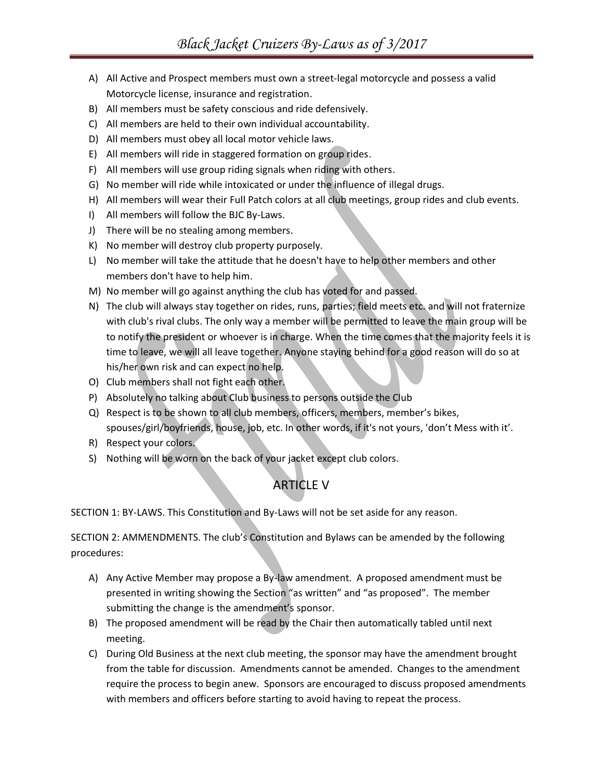- A) All Active and Prospect members must own a street-legal motorcycle and possess a valid Motorcycle license, insurance and registration.
- B) All members must be safety conscious and ride defensively.
- C) All members are held to their own individual accountability.
- D) All members must obey all local motor vehicle laws.
- E) All members will ride in staggered formation on group rides.
- F) All members will use group riding signals when riding with others.
- G) No member will ride while intoxicated or under the influence of illegal drugs.
- H) All members will wear their Full Patch colors at all club meetings, group rides and club events.
- I) All members will follow the BJC By-Laws.
- J) There will be no stealing among members.
- K) No member will destroy club property purposely.
- L) No member will take the attitude that he doesn't have to help other members and other members don't have to help him.
- M) No member will go against anything the club has voted for and passed.
- N) The club will always stay together on rides, runs, parties; field meets etc. and will not fraternize with club's rival clubs. The only way a member will be permitted to leave the main group will be to notify the president or whoever is in charge. When the time comes that the majority feels it is time to leave, we will all leave together. Anyone staying behind for a good reason will do so at his/her own risk and can expect no help.
- O) Club members shall not fight each other.
- P) Absolutely no talking about Club business to persons outside the Club
- Q) Respect is to be shown to all club members, officers, members, member's bikes, spouses/girl/boyfriends, house, job, etc. In other words, if it's not yours, 'don't Mess with it'.
- R) Respect your colors.
- S) Nothing will be worn on the back of your jacket except club colors.

### ARTICLE V

SECTION 1: BY-LAWS. This Constitution and By-Laws will not be set aside for any reason.

SECTION 2: AMMENDMENTS. The club's Constitution and Bylaws can be amended by the following procedures:

- A) Any Active Member may propose a By-law amendment. A proposed amendment must be presented in writing showing the Section "as written" and "as proposed". The member submitting the change is the amendment's sponsor.
- B) The proposed amendment will be read by the Chair then automatically tabled until next meeting.
- C) During Old Business at the next club meeting, the sponsor may have the amendment brought from the table for discussion. Amendments cannot be amended. Changes to the amendment require the process to begin anew. Sponsors are encouraged to discuss proposed amendments with members and officers before starting to avoid having to repeat the process.